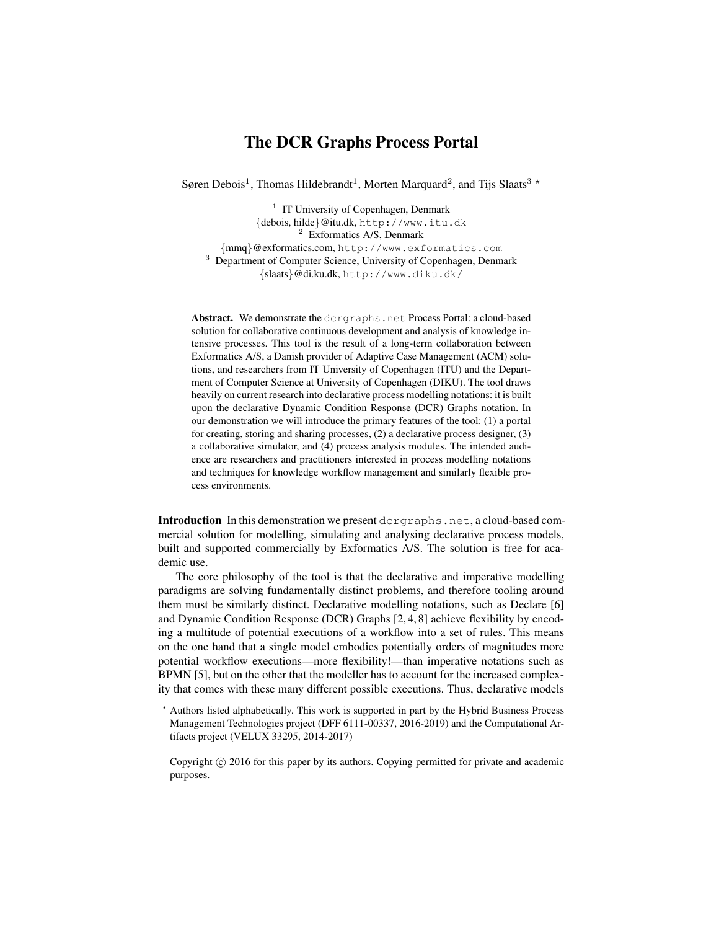# The DCR Graphs Process Portal

Søren Debois<sup>1</sup>, Thomas Hildebrandt<sup>1</sup>, Morten Marquard<sup>2</sup>, and Tijs Slaats<sup>3</sup> \*

<sup>1</sup> IT University of Copenhagen, Denmark {debois, hilde}@itu.dk, http://www.itu.dk <sup>2</sup> Exformatics A/S, Denmark {mmq}@exformatics.com, http://www.exformatics.com <sup>3</sup> Department of Computer Science, University of Copenhagen, Denmark {slaats}@di.ku.dk, http://www.diku.dk/

Abstract. We demonstrate the dcrgraphs.net Process Portal: a cloud-based solution for collaborative continuous development and analysis of knowledge intensive processes. This tool is the result of a long-term collaboration between Exformatics A/S, a Danish provider of Adaptive Case Management (ACM) solutions, and researchers from IT University of Copenhagen (ITU) and the Department of Computer Science at University of Copenhagen (DIKU). The tool draws heavily on current research into declarative process modelling notations: it is built upon the declarative Dynamic Condition Response (DCR) Graphs notation. In our demonstration we will introduce the primary features of the tool: (1) a portal for creating, storing and sharing processes, (2) a declarative process designer, (3) a collaborative simulator, and (4) process analysis modules. The intended audience are researchers and practitioners interested in process modelling notations and techniques for knowledge workflow management and similarly flexible process environments.

Introduction In this demonstration we present dcrgraphs.net, a cloud-based commercial solution for modelling, simulating and analysing declarative process models, built and supported commercially by Exformatics A/S. The solution is free for academic use.

The core philosophy of the tool is that the declarative and imperative modelling paradigms are solving fundamentally distinct problems, and therefore tooling around them must be similarly distinct. Declarative modelling notations, such as Declare [6] and Dynamic Condition Response (DCR) Graphs [2, 4, 8] achieve flexibility by encoding a multitude of potential executions of a workflow into a set of rules. This means on the one hand that a single model embodies potentially orders of magnitudes more potential workflow executions—more flexibility!—than imperative notations such as BPMN [5], but on the other that the modeller has to account for the increased complexity that comes with these many different possible executions. Thus, declarative models

<sup>?</sup> Authors listed alphabetically. This work is supported in part by the Hybrid Business Process Management Technologies project (DFF 6111-00337, 2016-2019) and the Computational Artifacts project (VELUX 33295, 2014-2017)

Copyright © 2016 for this paper by its authors. Copying permitted for private and academic purposes.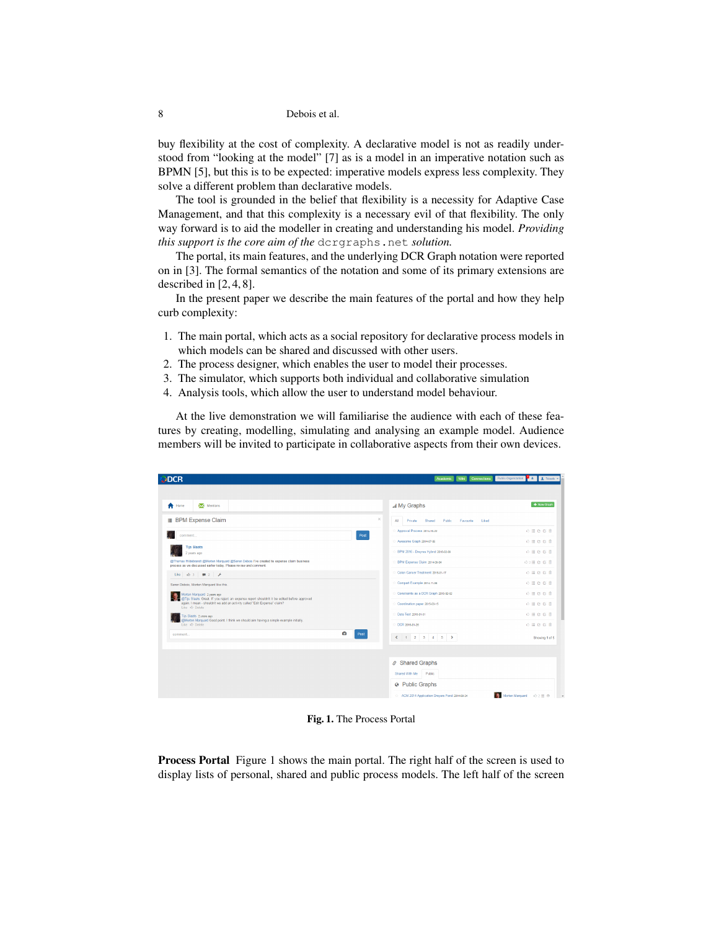8 Debois et al.

buy flexibility at the cost of complexity. A declarative model is not as readily understood from "looking at the model" [7] as is a model in an imperative notation such as BPMN [5], but this is to be expected: imperative models express less complexity. They solve a different problem than declarative models.

The tool is grounded in the belief that flexibility is a necessity for Adaptive Case Management, and that this complexity is a necessary evil of that flexibility. The only way forward is to aid the modeller in creating and understanding his model. *Providing this support is the core aim of the* dcrgraphs.net *solution.*

The portal, its main features, and the underlying DCR Graph notation were reported on in [3]. The formal semantics of the notation and some of its primary extensions are described in [2, 4, 8].

In the present paper we describe the main features of the portal and how they help curb complexity:

- 1. The main portal, which acts as a social repository for declarative process models in which models can be shared and discussed with other users.
- 2. The process designer, which enables the user to model their processes.
- 3. The simulator, which supports both individual and collaborative simulation
- 4. Analysis tools, which allow the user to understand model behaviour.

At the live demonstration we will familiarise the audience with each of these features by creating, modelling, simulating and analysing an example model. Audience members will be invited to participate in collaborative aspects from their own devices.

| <b>DCR</b>                                                                                                                                                                                                              |                                                | Wiki Connections<br>Academic | Public Organization 4 4 2 Tslaats -                          |
|-------------------------------------------------------------------------------------------------------------------------------------------------------------------------------------------------------------------------|------------------------------------------------|------------------------------|--------------------------------------------------------------|
| Mentions<br><b>f</b> Home                                                                                                                                                                                               | I My Graphs                                    |                              | + New Graph                                                  |
| <b>IE</b> BPM Expense Claim                                                                                                                                                                                             | $\times$<br>All<br>Shared<br>Private           | Public<br>Favourite<br>Liked |                                                              |
| comment<br><b>Tijs Slaats</b>                                                                                                                                                                                           | Approval Process 2014-10-22<br>Post            |                              | 心目白白言                                                        |
|                                                                                                                                                                                                                         | : Awesome Graph 2014-07-05                     |                              | ☆目のび言                                                        |
| 2 years ago                                                                                                                                                                                                             | BPM 2016 - Drevres Hybrid 2016-02-09           |                              | $0 \equiv 0.0$ ff                                            |
| @Thomas Hildebrandt @Morten Marquard @Søren Debois I've created te expense claim business<br>process as we discussed earlier today. Please review and comment.                                                          | BPM Expense Claim 2014-09-04                   |                              | ◎3厘 @ @ 自                                                    |
| Like $\uplus$ 3 $\uplus$ 2 $\uparrow$                                                                                                                                                                                   | Colon Cancer Treatment 2016-01-17              |                              | ☆目白び言                                                        |
| Søren Debois, Morten Marquard like this.                                                                                                                                                                                | Compart Example 2014-11-04                     |                              | $\circledcirc \equiv \circledcirc \circledcirc$              |
| Morten Marquard 2 years ago<br>@Tijs Slaats Great. If you reject an expense report shouldn't it be edited before approved<br>again. I mean - shouldn't we add an activity called "Edit Expense" claim?<br>Like & Delete | Constraints as a DCR Graph 2015-02-02          |                              | 心目白白言                                                        |
|                                                                                                                                                                                                                         | Coordination paper 2015-03-15                  |                              | ☆目白び音                                                        |
| Tijs Slaats 2 years ago<br>@Morten Marguard Good point. I think we should aim having a simple example initially.                                                                                                        | <b>Data Test 2016-01-01</b>                    |                              | $\ddot{\phi} \equiv \dot{C} \, \ddot{C} \, \, \dot{\bar{B}}$ |
| Like & Delete                                                                                                                                                                                                           | DCR 2016-01-26                                 |                              | 心道白び言                                                        |
| $\bullet$<br>comment.                                                                                                                                                                                                   | Post<br>$\leftarrow$ 1 2 3 4 5 >               |                              | Showing 1 of 5                                               |
|                                                                                                                                                                                                                         |                                                |                              |                                                              |
|                                                                                                                                                                                                                         | Shared Graphs                                  |                              |                                                              |
|                                                                                                                                                                                                                         | Shared With Me<br>Public                       |                              |                                                              |
|                                                                                                                                                                                                                         | <sup>O</sup> Public Graphs                     |                              |                                                              |
|                                                                                                                                                                                                                         | : ACM 2014 Application Dreyers Fond 2014-08-24 |                              | Morten Marquard + 3 2 E 3                                    |

Fig. 1. The Process Portal

Process Portal Figure 1 shows the main portal. The right half of the screen is used to display lists of personal, shared and public process models. The left half of the screen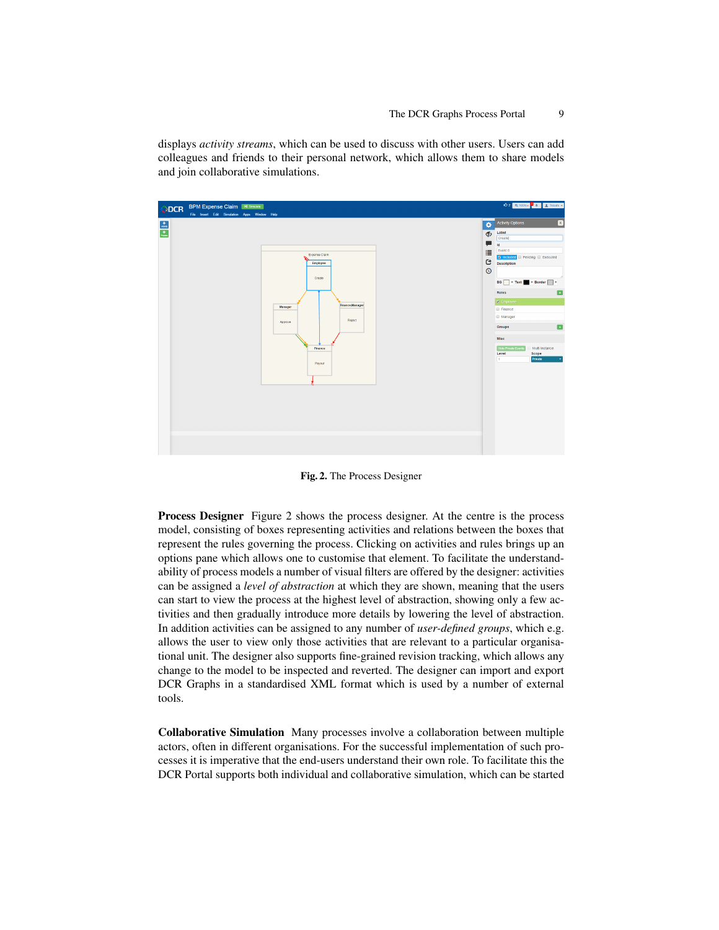displays *activity streams*, which can be used to discuss with other users. Users can add colleagues and friends to their personal network, which allows them to share models and join collaborative simulations.



Fig. 2. The Process Designer

Process Designer Figure 2 shows the process designer. At the centre is the process model, consisting of boxes representing activities and relations between the boxes that represent the rules governing the process. Clicking on activities and rules brings up an options pane which allows one to customise that element. To facilitate the understandability of process models a number of visual filters are offered by the designer: activities can be assigned a *level of abstraction* at which they are shown, meaning that the users can start to view the process at the highest level of abstraction, showing only a few activities and then gradually introduce more details by lowering the level of abstraction. In addition activities can be assigned to any number of *user-defined groups*, which e.g. allows the user to view only those activities that are relevant to a particular organisational unit. The designer also supports fine-grained revision tracking, which allows any change to the model to be inspected and reverted. The designer can import and export DCR Graphs in a standardised XML format which is used by a number of external tools.

Collaborative Simulation Many processes involve a collaboration between multiple actors, often in different organisations. For the successful implementation of such processes it is imperative that the end-users understand their own role. To facilitate this the DCR Portal supports both individual and collaborative simulation, which can be started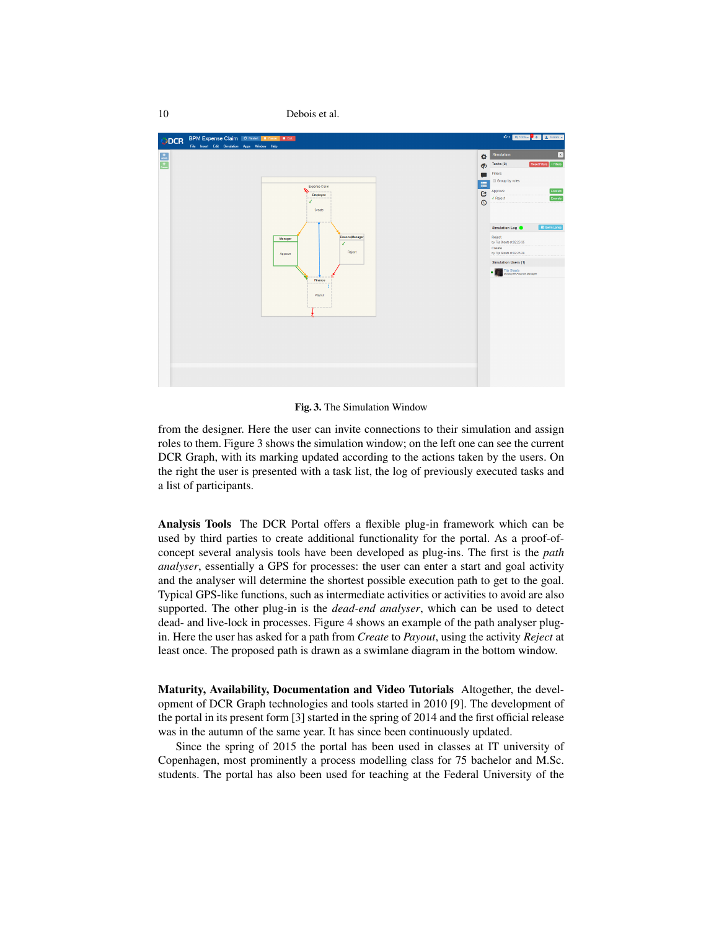

Fig. 3. The Simulation Window

from the designer. Here the user can invite connections to their simulation and assign roles to them. Figure 3 shows the simulation window; on the left one can see the current DCR Graph, with its marking updated according to the actions taken by the users. On the right the user is presented with a task list, the log of previously executed tasks and a list of participants.

Analysis Tools The DCR Portal offers a flexible plug-in framework which can be used by third parties to create additional functionality for the portal. As a proof-ofconcept several analysis tools have been developed as plug-ins. The first is the *path analyser*, essentially a GPS for processes: the user can enter a start and goal activity and the analyser will determine the shortest possible execution path to get to the goal. Typical GPS-like functions, such as intermediate activities or activities to avoid are also supported. The other plug-in is the *dead-end analyser*, which can be used to detect dead- and live-lock in processes. Figure 4 shows an example of the path analyser plugin. Here the user has asked for a path from *Create* to *Payout*, using the activity *Reject* at least once. The proposed path is drawn as a swimlane diagram in the bottom window.

Maturity, Availability, Documentation and Video Tutorials Altogether, the development of DCR Graph technologies and tools started in 2010 [9]. The development of the portal in its present form [3] started in the spring of 2014 and the first official release was in the autumn of the same year. It has since been continuously updated.

Since the spring of 2015 the portal has been used in classes at IT university of Copenhagen, most prominently a process modelling class for 75 bachelor and M.Sc. students. The portal has also been used for teaching at the Federal University of the